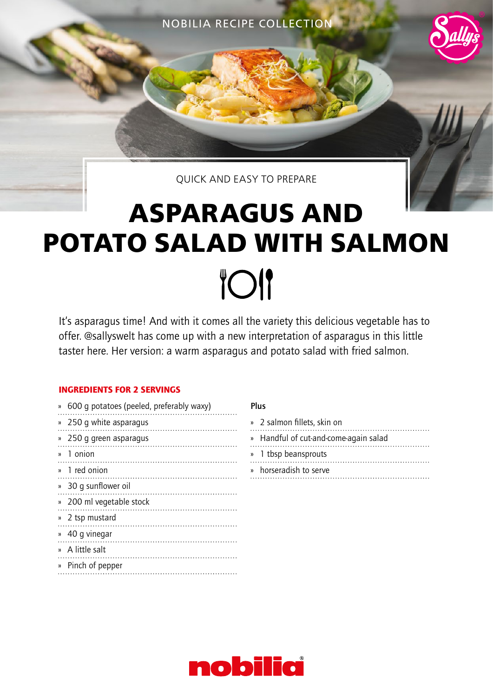NOBILIA RECIPE COLLECTION



# **ASPARAGUS AND POTATO SALAD WITH SALMON TOI**

It's asparagus time! And with it comes all the variety this delicious vegetable has to offer. @sallyswelt has come up with a new interpretation of asparagus in this little taster here. Her version: a warm asparagus and potato salad with fried salmon.

## INGREDIENTS FOR 2 SERVINGS

| )) | 600 q potatoes (peeled, preferably waxy) |
|----|------------------------------------------|
| )) | 250 g white asparagus                    |
| )) | 250 g green asparagus                    |
|    | » 1 onion                                |
|    | » 1 red onion                            |
|    | » 30 q sunflower oil                     |
|    | » 200 ml vegetable stock                 |
| )) | 2 tsp mustard                            |
| )) | 40 q vinegar                             |
|    | » A little salt                          |
| )) | Pinch of pepper                          |
|    |                                          |

## Plus

| » 2 salmon fillets, skin on           |
|---------------------------------------|
| » Handful of cut-and-come-again salad |
| » 1 tbsp beansprouts                  |

. . . . . . . . . . . . . . . . . . . . . . . . . .

» horseradish to serve